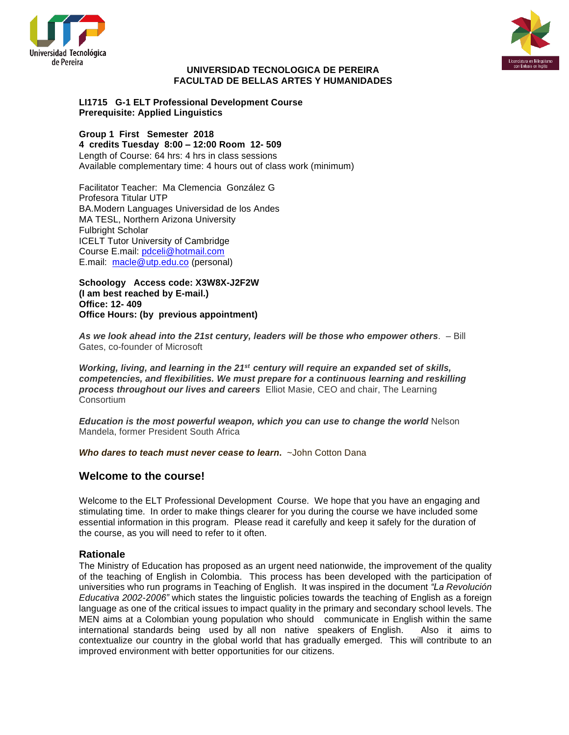



#### **UNIVERSIDAD TECNOLOGICA DE PEREIRA FACULTAD DE BELLAS ARTES Y HUMANIDADES**

#### **LI1715 G-1 ELT Professional Development Course Prerequisite: Applied Linguistics**

**Group 1 First Semester 2018 4 credits Tuesday 8:00 – 12:00 Room 12- 509** Length of Course: 64 hrs: 4 hrs in class sessions Available complementary time: 4 hours out of class work (minimum)

Facilitator Teacher: Ma Clemencia González G Profesora Titular UTP BA.Modern Languages Universidad de los Andes MA TESL, Northern Arizona University Fulbright Scholar ICELT Tutor University of Cambridge Course E.mail: [pdceli@hotmail.com](mailto:pdceli@hotmail.com) E.mail: [macle@utp.edu.co](mailto:macle@utp.edu.co) (personal)

**Schoology Access code: X3W8X-J2F2W (I am best reached by E-mail.) Office: 12- 409 Office Hours: (by previous appointment)**

*As we look ahead into the 21st century, leaders will be those who empower others*. – Bill Gates, co-founder of Microsoft

*Working, living, and learning in the 21st century will require an expanded set of skills, competencies, and flexibilities. We must prepare for a continuous learning and reskilling process throughout our lives and careers* Elliot Masie, CEO and chair, The Learning **Consortium** 

*Education is the most powerful weapon, which you can use to change the world* Nelson Mandela, former President South Africa

*Who dares to teach must never cease to learn***.** ~John Cotton Dana

## **Welcome to the course!**

Welcome to the ELT Professional Development Course. We hope that you have an engaging and stimulating time. In order to make things clearer for you during the course we have included some essential information in this program. Please read it carefully and keep it safely for the duration of the course, as you will need to refer to it often.

#### **Rationale**

The Ministry of Education has proposed as an urgent need nationwide, the improvement of the quality of the teaching of English in Colombia. This process has been developed with the participation of universities who run programs in Teaching of English. It was inspired in the document *"La Revolución Educativa 2002-2006"* which states the linguistic policies towards the teaching of English as a foreign language as one of the critical issues to impact quality in the primary and secondary school levels. The MEN aims at a Colombian young population who should communicate in English within the same international standards being used by all non native speakers of English. Also it aims to contextualize our country in the global world that has gradually emerged. This will contribute to an improved environment with better opportunities for our citizens.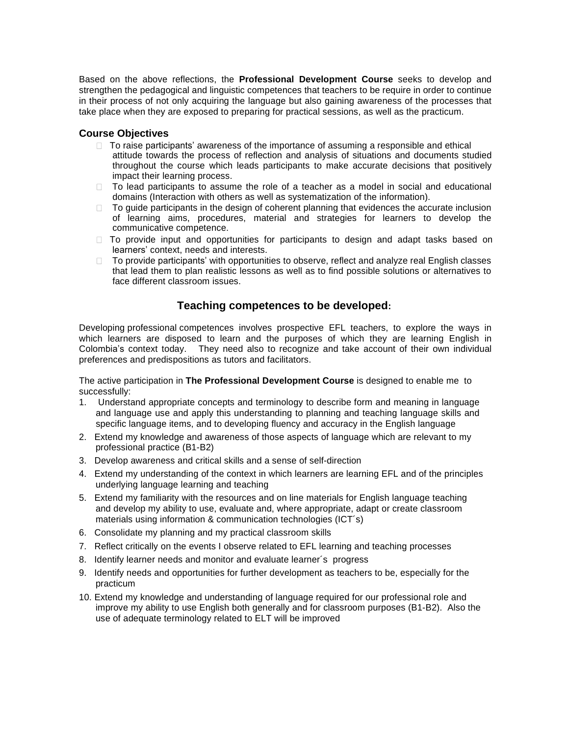Based on the above reflections, the **Professional Development Course** seeks to develop and strengthen the pedagogical and linguistic competences that teachers to be require in order to continue in their process of not only acquiring the language but also gaining awareness of the processes that take place when they are exposed to preparing for practical sessions, as well as the practicum.

### **Course Objectives**

- $\Box$  To raise participants' awareness of the importance of assuming a responsible and ethical attitude towards the process of reflection and analysis of situations and documents studied throughout the course which leads participants to make accurate decisions that positively impact their learning process.
- □ To lead participants to assume the role of a teacher as a model in social and educational domains (Interaction with others as well as systematization of the information).
- $\Box$  To guide participants in the design of coherent planning that evidences the accurate inclusion of learning aims, procedures, material and strategies for learners to develop the communicative competence.
- $\Box$  To provide input and opportunities for participants to design and adapt tasks based on learners' context, needs and interests.
- $\Box$  To provide participants' with opportunities to observe, reflect and analyze real English classes that lead them to plan realistic lessons as well as to find possible solutions or alternatives to face different classroom issues.

## **Teaching competences to be developed:**

Developing professional competences involves prospective EFL teachers, to explore the ways in which learners are disposed to learn and the purposes of which they are learning English in Colombia's context today. They need also to recognize and take account of their own individual preferences and predispositions as tutors and facilitators.

The active participation in **The Professional Development Course** is designed to enable me to successfully:

- 1. Understand appropriate concepts and terminology to describe form and meaning in language and language use and apply this understanding to planning and teaching language skills and specific language items, and to developing fluency and accuracy in the English language
- 2. Extend my knowledge and awareness of those aspects of language which are relevant to my professional practice (B1-B2)
- 3. Develop awareness and critical skills and a sense of self-direction
- 4. Extend my understanding of the context in which learners are learning EFL and of the principles underlying language learning and teaching
- 5. Extend my familiarity with the resources and on line materials for English language teaching and develop my ability to use, evaluate and, where appropriate, adapt or create classroom materials using information & communication technologies (ICT´s)
- 6. Consolidate my planning and my practical classroom skills
- 7. Reflect critically on the events I observe related to EFL learning and teaching processes
- 8. Identify learner needs and monitor and evaluate learner´s progress
- 9. Identify needs and opportunities for further development as teachers to be, especially for the practicum
- 10. Extend my knowledge and understanding of language required for our professional role and improve my ability to use English both generally and for classroom purposes (B1-B2). Also the use of adequate terminology related to ELT will be improved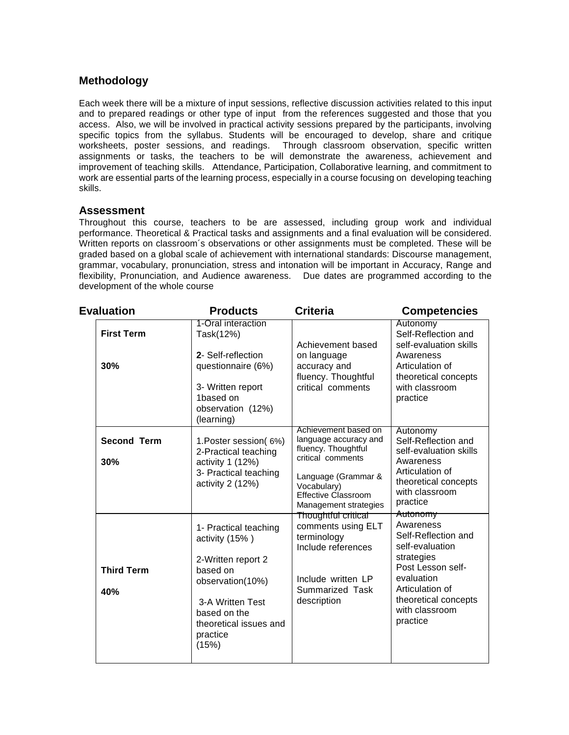## **Methodology**

Each week there will be a mixture of input sessions, reflective discussion activities related to this input and to prepared readings or other type of input from the references suggested and those that you access. Also, we will be involved in practical activity sessions prepared by the participants, involving specific topics from the syllabus. Students will be encouraged to develop, share and critique worksheets, poster sessions, and readings. Through classroom observation, specific written assignments or tasks, the teachers to be will demonstrate the awareness, achievement and improvement of teaching skills. Attendance, Participation, Collaborative learning, and commitment to work are essential parts of the learning process, especially in a course focusing on developing teaching skills.

## **Assessment**

Throughout this course, teachers to be are assessed, including group work and individual performance. Theoretical & Practical tasks and assignments and a final evaluation will be considered. Written reports on classroom´s observations or other assignments must be completed. These will be graded based on a global scale of achievement with international standards: Discourse management, grammar, vocabulary, pronunciation, stress and intonation will be important in Accuracy, Range and flexibility, Pronunciation, and Audience awareness. Due dates are programmed according to the development of the whole course

| <b>Evaluation</b>         | <b>Products</b>                                                                                                                                                                  | <b>Criteria</b>                                                                                                                                                                        | <b>Competencies</b>                                                                                                                                                                       |
|---------------------------|----------------------------------------------------------------------------------------------------------------------------------------------------------------------------------|----------------------------------------------------------------------------------------------------------------------------------------------------------------------------------------|-------------------------------------------------------------------------------------------------------------------------------------------------------------------------------------------|
| <b>First Term</b><br>30%  | 1-Oral interaction<br>Task(12%)<br>2- Self-reflection<br>questionnaire (6%)<br>3- Written report<br>1based on<br>observation (12%)<br>(learning)                                 | Achievement based<br>on language<br>accuracy and<br>fluency. Thoughtful<br>critical comments                                                                                           | Autonomy<br>Self-Reflection and<br>self-evaluation skills<br>Awareness<br>Articulation of<br>theoretical concepts<br>with classroom<br>practice                                           |
| <b>Second Term</b><br>30% | 1. Poster session (6%)<br>2-Practical teaching<br>activity 1 (12%)<br>3- Practical teaching<br>activity 2 (12%)                                                                  | Achievement based on<br>language accuracy and<br>fluency. Thoughtful<br>critical comments<br>Language (Grammar &<br>Vocabulary)<br><b>Effective Classroom</b><br>Management strategies | Autonomy<br>Self-Reflection and<br>self-evaluation skills<br>Awareness<br>Articulation of<br>theoretical concepts<br>with classroom<br>practice                                           |
| <b>Third Term</b><br>40%  | 1- Practical teaching<br>activity (15%)<br>2-Written report 2<br>based on<br>observation(10%)<br>3-A Written Test<br>based on the<br>theoretical issues and<br>practice<br>(15%) | Thoughtful critical<br>comments using ELT<br>terminology<br>Include references<br>Include written LP<br>Summarized Task<br>description                                                 | Autonomy<br>Awareness<br>Self-Reflection and<br>self-evaluation<br>strategies<br>Post Lesson self-<br>evaluation<br>Articulation of<br>theoretical concepts<br>with classroom<br>practice |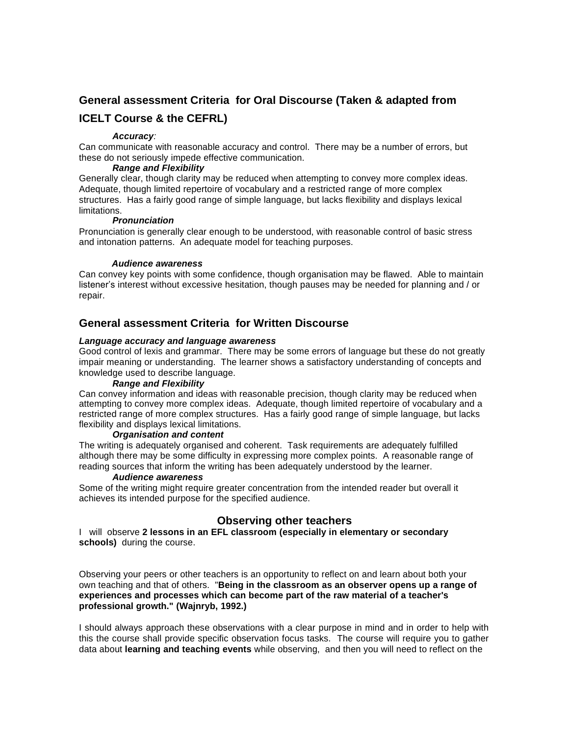# **General assessment Criteria for Oral Discourse (Taken & adapted from**

## **ICELT Course & the CEFRL)**

#### *Accuracy:*

Can communicate with reasonable accuracy and control. There may be a number of errors, but these do not seriously impede effective communication.

#### *Range and Flexibility*

Generally clear, though clarity may be reduced when attempting to convey more complex ideas. Adequate, though limited repertoire of vocabulary and a restricted range of more complex structures. Has a fairly good range of simple language, but lacks flexibility and displays lexical limitations.

#### *Pronunciation*

Pronunciation is generally clear enough to be understood, with reasonable control of basic stress and intonation patterns. An adequate model for teaching purposes.

#### *Audience awareness*

Can convey key points with some confidence, though organisation may be flawed. Able to maintain listener's interest without excessive hesitation, though pauses may be needed for planning and / or repair.

## **General assessment Criteria for Written Discourse**

#### *Language accuracy and language awareness*

Good control of lexis and grammar. There may be some errors of language but these do not greatly impair meaning or understanding. The learner shows a satisfactory understanding of concepts and knowledge used to describe language.

#### *Range and Flexibility*

Can convey information and ideas with reasonable precision, though clarity may be reduced when attempting to convey more complex ideas. Adequate, though limited repertoire of vocabulary and a restricted range of more complex structures. Has a fairly good range of simple language, but lacks flexibility and displays lexical limitations.

#### *Organisation and content*

The writing is adequately organised and coherent. Task requirements are adequately fulfilled although there may be some difficulty in expressing more complex points. A reasonable range of reading sources that inform the writing has been adequately understood by the learner.

#### *Audience awareness*

Some of the writing might require greater concentration from the intended reader but overall it achieves its intended purpose for the specified audience.

## **Observing other teachers**

I will observe **2 lessons in an EFL classroom (especially in elementary or secondary schools)** during the course.

Observing your peers or other teachers is an opportunity to reflect on and learn about both your own teaching and that of others. "**Being in the classroom as an observer opens up a range of experiences and processes which can become part of the raw material of a teacher's professional growth." (Wajnryb, 1992.)**

I should always approach these observations with a clear purpose in mind and in order to help with this the course shall provide specific observation focus tasks. The course will require you to gather data about **learning and teaching events** while observing, and then you will need to reflect on the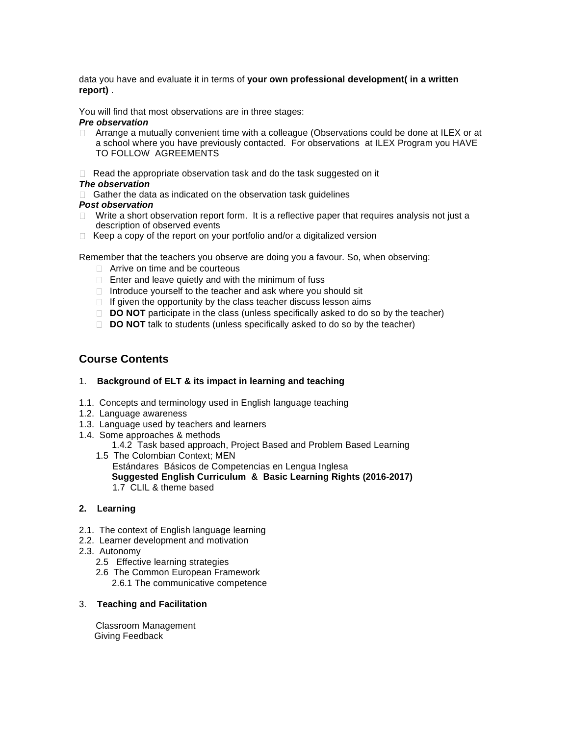data you have and evaluate it in terms of **your own professional development( in a written report)** .

You will find that most observations are in three stages:

#### *Pre observation*

- Arrange a mutually convenient time with a colleague (Observations could be done at ILEX or at  $\Box$ a school where you have previously contacted. For observations at ILEX Program you HAVE TO FOLLOW AGREEMENTS
- $\Box$  Read the appropriate observation task and do the task suggested on it

#### *The observation*

 $\Box$  Gather the data as indicated on the observation task guidelines

#### *Post observation*

- Write a short observation report form. It is a reflective paper that requires analysis not just a description of observed events
- $\Box$  Keep a copy of the report on your portfolio and/or a digitalized version

Remember that the teachers you observe are doing you a favour. So, when observing:

- □ Arrive on time and be courteous
- $\Box$  Enter and leave quietly and with the minimum of fuss
- $\Box$  Introduce yourself to the teacher and ask where you should sit
- $\Box$  If given the opportunity by the class teacher discuss lesson aims
- □ **DO NOT** participate in the class (unless specifically asked to do so by the teacher)
- **DO NOT** talk to students (unless specifically asked to do so by the teacher)

## **Course Contents**

#### 1. **Background of ELT & its impact in learning and teaching**

- 1.1. Concepts and terminology used in English language teaching
- 1.2. Language awareness
- 1.3. Language used by teachers and learners
- 1.4. Some approaches & methods

1.4.2 Task based approach, Project Based and Problem Based Learning

1.5 The Colombian Context; MEN Estándares Básicos de Competencias en Lengua Inglesa **Suggested English Curriculum & Basic Learning Rights (2016-2017)** 1.7 CLIL & theme based

#### **2. Learning**

- 2.1. The context of English language learning
- 2.2. Learner development and motivation
- 2.3. Autonomy
	- 2.5 Effective learning strategies
	- 2.6 The Common European Framework
		- 2.6.1 The communicative competence

#### 3. **Teaching and Facilitation**

Classroom Management Giving Feedback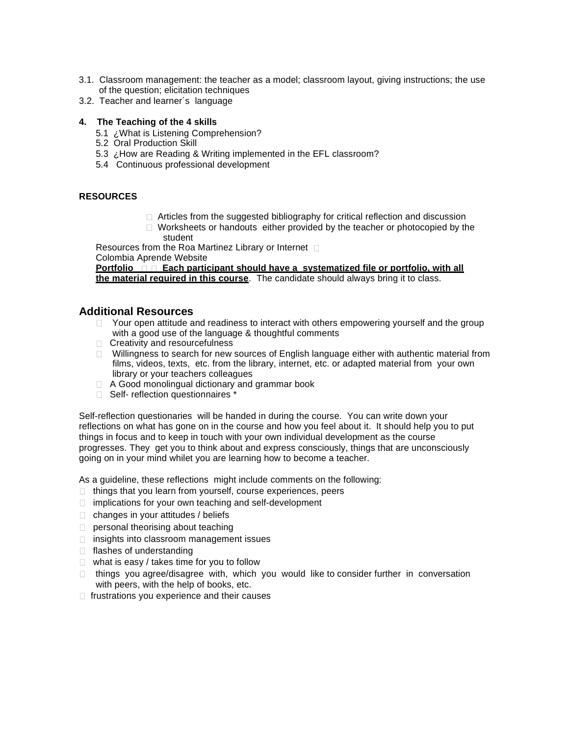- 3.1. Classroom management: the teacher as a model; classroom layout, giving instructions; the use of the question; elicitation techniques
- 3.2. Teacher and learner´s language
- **4. The Teaching of the 4 skills**
	- 5.1 ¿What is Listening Comprehension?
	- 5.2 Oral Production Skill
	- 5.3 ¿How are Reading & Writing implemented in the EFL classroom?
	- 5.4 Continuous professional development

### **RESOURCES**

- □ Articles from the suggested bibliography for critical reflection and discussion
- $\Box$  Worksheets or handouts either provided by the teacher or photocopied by the student

Resources from the Roa Martinez Library or Internet  $\Box$ Colombia Aprende Website

**Portfolio**  $\Box$  Each participant should have a systematized file or portfolio, with all **the material required in this course**. The candidate should always bring it to class.

### **Additional Resources**

- $\Box$  Your open attitude and readiness to interact with others empowering yourself and the group with a good use of the language & thoughtful comments
- □ Creativity and resourcefulness
- $\Box$  Willingness to search for new sources of English language either with authentic material from films, videos, texts, etc. from the library, internet, etc. or adapted material from your own library or your teachers colleagues
- □ A Good monolingual dictionary and grammar book
- □ Self- reflection questionnaires<sup>\*</sup>

Self-reflection questionaries will be handed in during the course. You can write down your reflections on what has gone on in the course and how you feel about it. It should help you to put things in focus and to keep in touch with your own individual development as the course progresses. They get you to think about and express consciously, things that are unconsciously going on in your mind whilet you are learning how to become a teacher.

As a guideline, these reflections might include comments on the following:

- $\Box$  things that you learn from yourself, course experiences, peers
- $\Box$  implications for your own teaching and self-development
- $\Box$  changes in your attitudes / beliefs
- **personal theorising about teaching**
- $\Box$  insights into classroom management issues
- $\Box$  flashes of understanding
- $\Box$  what is easy / takes time for you to follow
- □ things you agree/disagree with, which you would like to consider further in conversation with peers, with the help of books, etc.
- $\Box$  frustrations you experience and their causes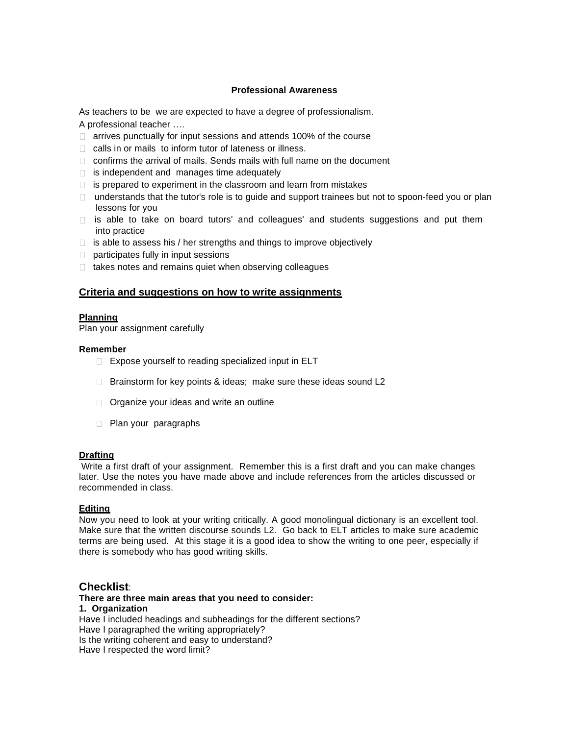#### **Professional Awareness**

As teachers to be we are expected to have a degree of professionalism.

A professional teacher ….

- $\Box$  arrives punctually for input sessions and attends 100% of the course
- □ calls in or mails to inform tutor of lateness or illness.
- $\Box$  confirms the arrival of mails. Sends mails with full name on the document
- $\Box$  is independent and manages time adequately
- $\Box$  is prepared to experiment in the classroom and learn from mistakes
- $\Box$  understands that the tutor's role is to guide and support trainees but not to spoon-feed you or plan lessons for you
- $\Box$  is able to take on board tutors' and colleagues' and students suggestions and put them into practice
- $\Box$  is able to assess his / her strengths and things to improve objectively
- $\Box$  participates fully in input sessions
- $\Box$  takes notes and remains quiet when observing colleagues

#### **Criteria and suggestions on how to write assignments**

#### **Planning**

Plan your assignment carefully

#### **Remember**

- $\Box$  Expose yourself to reading specialized input in ELT
- $\Box$  Brainstorm for key points & ideas; make sure these ideas sound L2
- □ Organize your ideas and write an outline
- **Plan your paragraphs**

#### **Drafting**

Write a first draft of your assignment. Remember this is a first draft and you can make changes later. Use the notes you have made above and include references from the articles discussed or recommended in class.

#### **Editing**

Now you need to look at your writing critically. A good monolingual dictionary is an excellent tool. Make sure that the written discourse sounds L2. Go back to ELT articles to make sure academic terms are being used. At this stage it is a good idea to show the writing to one peer, especially if there is somebody who has good writing skills.

### **Checklist**:

**There are three main areas that you need to consider: 1. Organization** Have I included headings and subheadings for the different sections? Have I paragraphed the writing appropriately? Is the writing coherent and easy to understand? Have I respected the word limit?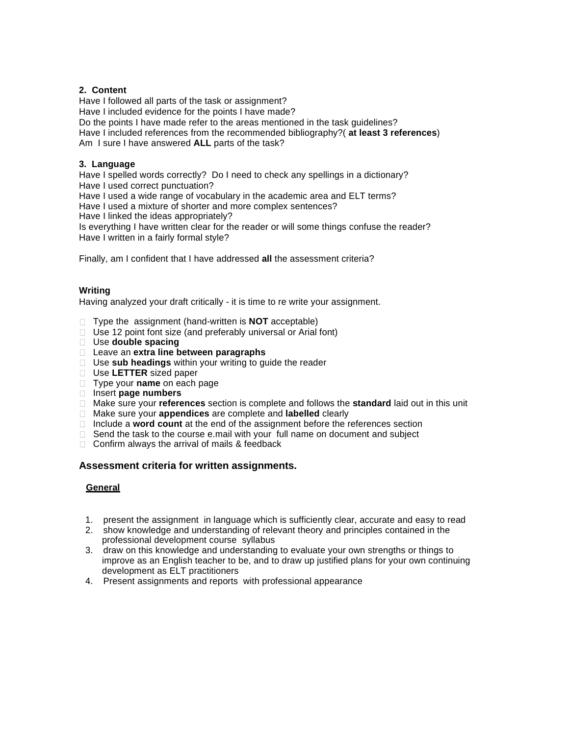#### **2. Content**

Have I followed all parts of the task or assignment? Have I included evidence for the points I have made? Do the points I have made refer to the areas mentioned in the task guidelines? Have I included references from the recommended bibliography?( **at least 3 references**) Am I sure I have answered **ALL** parts of the task?

#### **3. Language**

Have I spelled words correctly? Do I need to check any spellings in a dictionary? Have I used correct punctuation?

Have I used a wide range of vocabulary in the academic area and ELT terms?

Have I used a mixture of shorter and more complex sentences?

Have I linked the ideas appropriately?

Is everything I have written clear for the reader or will some things confuse the reader? Have I written in a fairly formal style?

Finally, am I confident that I have addressed **all** the assessment criteria?

### **Writing**

Having analyzed your draft critically - it is time to re write your assignment.

- Type the assignment (hand-written is **NOT** acceptable)
- $\Box$  Use 12 point font size (and preferably universal or Arial font)
- Use **double spacing**
- Leave an **extra line between paragraphs**
- Use **sub headings** within your writing to guide the reader
- Use **LETTER** sized paper
- Type your **name** on each page
- Insert **page numbers**
- Make sure your **references** section is complete and follows the **standard** laid out in this unit
- Make sure your **appendices** are complete and **labelled** clearly
- □ Include a **word count** at the end of the assignment before the references section
- $\Box$  Send the task to the course e.mail with your full name on document and subject
- $\Box$  Confirm always the arrival of mails & feedback

## **Assessment criteria for written assignments.**

#### **General**

- 1. present the assignment in language which is sufficiently clear, accurate and easy to read
- 2. show knowledge and understanding of relevant theory and principles contained in the professional development course syllabus
- 3. draw on this knowledge and understanding to evaluate your own strengths or things to improve as an English teacher to be, and to draw up justified plans for your own continuing development as ELT practitioners
- 4. Present assignments and reports with professional appearance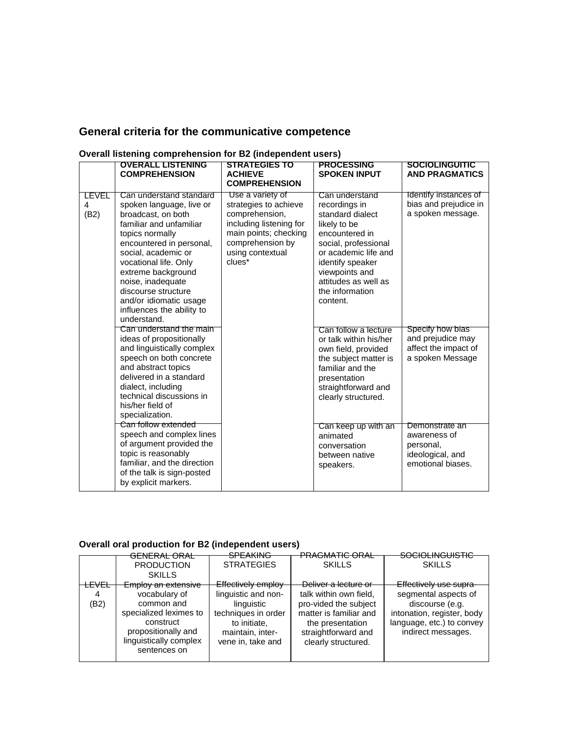# **General criteria for the communicative competence**

|                    | <b>OVERALL LISTENING</b><br><b>COMPREHENSION</b>                                                                                                                                                                                                                                                                                            | <b>STRATEGIES TO</b><br><b>ACHIEVE</b><br><b>COMPREHENSION</b>                                                                                                    | <b>PROCESSING</b><br><b>SPOKEN INPUT</b>                                                                                                                                                                                           | <b>SOCIOLINGUITIC</b><br><b>AND PRAGMATICS</b>                                       |
|--------------------|---------------------------------------------------------------------------------------------------------------------------------------------------------------------------------------------------------------------------------------------------------------------------------------------------------------------------------------------|-------------------------------------------------------------------------------------------------------------------------------------------------------------------|------------------------------------------------------------------------------------------------------------------------------------------------------------------------------------------------------------------------------------|--------------------------------------------------------------------------------------|
| LEVEL<br>4<br>(B2) | Can understand standard<br>spoken language, live or<br>broadcast, on both<br>familiar and unfamiliar<br>topics normally<br>encountered in personal,<br>social, academic or<br>vocational life. Only<br>extreme background<br>noise, inadequate<br>discourse structure<br>and/or idiomatic usage<br>influences the ability to<br>understand. | Use a variety of<br>strategies to achieve<br>comprehension,<br>including listening for<br>main points; checking<br>comprehension by<br>using contextual<br>clues* | Can understand<br>recordings in<br>standard dialect<br>likely to be<br>encountered in<br>social, professional<br>or academic life and<br>identify speaker<br>viewpoints and<br>attitudes as well as<br>the information<br>content. | Identify instances of<br>bias and prejudice in<br>a spoken message.                  |
|                    | Can understand the main<br>ideas of propositionally<br>and linguistically complex<br>speech on both concrete<br>and abstract topics<br>delivered in a standard<br>dialect, including<br>technical discussions in<br>his/her field of<br>specialization.                                                                                     |                                                                                                                                                                   | Can follow a lecture<br>or talk within his/her<br>own field, provided<br>the subject matter is<br>familiar and the<br>presentation<br>straightforward and<br>clearly structured.                                                   | Specify how bias<br>and prejudice may<br>affect the impact of<br>a spoken Message    |
|                    | Can follow extended<br>speech and complex lines<br>of argument provided the<br>topic is reasonably<br>familiar, and the direction<br>of the talk is sign-posted<br>by explicit markers.                                                                                                                                                     |                                                                                                                                                                   | Can keep up with an<br>animated<br>conversation<br>between native<br>speakers.                                                                                                                                                     | Demonstrate an<br>awareness of<br>personal,<br>ideological, and<br>emotional biases. |

## **Overall listening comprehension for B2 (independent users)**

## **Overall oral production for B2 (independent users)**

|      | <del>GENERAL ORAL</del>                | <b>SPEAKING</b>           | <b>PRAGMATIC ORAL</b>  | <b>SOCIOLINGUISTIC</b>     |
|------|----------------------------------------|---------------------------|------------------------|----------------------------|
|      |                                        |                           |                        |                            |
|      | <b>PRODUCTION</b>                      | <b>STRATEGIES</b>         | <b>SKILLS</b>          | <b>SKILLS</b>              |
|      | <b>SKILLS</b>                          |                           |                        |                            |
| FVFI | Employ an extensive                    | <b>Effectively employ</b> | Deliver a lecture or   | Effectively use supra-     |
|      |                                        |                           |                        |                            |
| 4    | vocabulary of                          | linguistic and non-       | talk within own field, | segmental aspects of       |
| (B2) | common and                             | linguistic                | pro-vided the subject  | discourse (e.g.            |
|      | specialized leximes to                 | techniques in order       | matter is familiar and | intonation, register, body |
|      | construct                              | to initiate.              | the presentation       | language, etc.) to convey  |
|      | propositionally and                    | maintain, inter-          | straightforward and    | indirect messages.         |
|      |                                        |                           |                        |                            |
|      | linguistically complex<br>sentences on | vene in, take and         | clearly structured.    |                            |
|      |                                        |                           |                        |                            |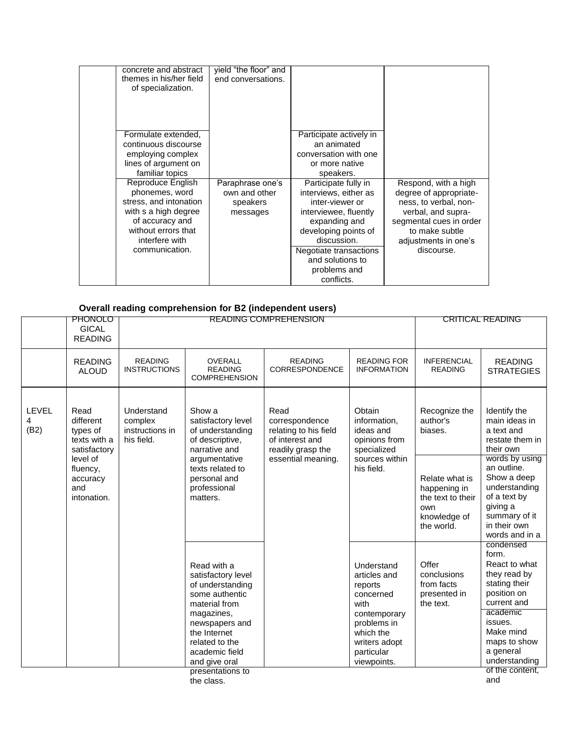| concrete and abstract<br>themes in his/her field<br>of specialization.                                                                                                                                                                                                             | yield "the floor" and<br>end conversations.               |                                                                                                                                                                                                                                                                                                                                 |                                                                                                                                                                                  |
|------------------------------------------------------------------------------------------------------------------------------------------------------------------------------------------------------------------------------------------------------------------------------------|-----------------------------------------------------------|---------------------------------------------------------------------------------------------------------------------------------------------------------------------------------------------------------------------------------------------------------------------------------------------------------------------------------|----------------------------------------------------------------------------------------------------------------------------------------------------------------------------------|
| Formulate extended,<br>continuous discourse<br>employing complex<br>lines of argument on<br>familiar topics<br>Reproduce English<br>phonemes, word<br>stress, and intonation<br>with s a high degree<br>of accuracy and<br>without errors that<br>interfere with<br>communication. | Paraphrase one's<br>own and other<br>speakers<br>messages | Participate actively in<br>an animated<br>conversation with one<br>or more native<br>speakers.<br>Participate fully in<br>interviews, either as<br>inter-viewer or<br>interviewee, fluently<br>expanding and<br>developing points of<br>discussion.<br>Negotiate transactions<br>and solutions to<br>problems and<br>conflicts. | Respond, with a high<br>degree of appropriate-<br>ness, to verbal, non-<br>verbal, and supra-<br>segmental cues in order<br>to make subtle<br>adjustments in one's<br>discourse. |

### **Overall reading comprehension for B2 (independent users)**

|                           | <b>PHONOLO</b><br><b>GICAL</b><br><b>READING</b>              |                                                        |                                                                                                                                                                                               | <b>READING COMPREHENSION</b>                                                            |                                                                                                                                                      | <b>CRITICAL READING</b>                                                                  |                                                                                                                                                                                      |
|---------------------------|---------------------------------------------------------------|--------------------------------------------------------|-----------------------------------------------------------------------------------------------------------------------------------------------------------------------------------------------|-----------------------------------------------------------------------------------------|------------------------------------------------------------------------------------------------------------------------------------------------------|------------------------------------------------------------------------------------------|--------------------------------------------------------------------------------------------------------------------------------------------------------------------------------------|
|                           | <b>READING</b><br><b>ALOUD</b>                                | <b>READING</b><br><b>INSTRUCTIONS</b>                  | <b>OVERALL</b><br><b>READING</b><br><b>COMPREHENSION</b>                                                                                                                                      | <b>READING</b><br>CORRESPONDENCE                                                        | <b>READING FOR</b><br><b>INFORMATION</b>                                                                                                             | <b>INFERENCIAL</b><br><b>READING</b>                                                     | <b>READING</b><br><b>STRATEGIES</b>                                                                                                                                                  |
| <b>LEVEL</b><br>4<br>(B2) | Read<br>different<br>types of<br>texts with a<br>satisfactory | Understand<br>complex<br>instructions in<br>his field. | Show a<br>satisfactory level<br>of understanding<br>of descriptive,<br>narrative and                                                                                                          | Read<br>correspondence<br>relating to his field<br>of interest and<br>readily grasp the | Obtain<br>information,<br>ideas and<br>opinions from<br>specialized                                                                                  | Recognize the<br>author's<br>biases.                                                     | Identify the<br>main ideas in<br>a text and<br>restate them in<br>their own                                                                                                          |
|                           | level of<br>fluency,<br>accuracy<br>and<br>intonation.        |                                                        | argumentative<br>texts related to<br>personal and<br>professional<br>matters.                                                                                                                 | essential meaning.                                                                      | sources within<br>his field.                                                                                                                         | Relate what is<br>happening in<br>the text to their<br>own<br>knowledge of<br>the world. | words by using<br>an outline.<br>Show a deep<br>understanding<br>of a text by<br>giving a<br>summary of it<br>in their own<br>words and in a                                         |
|                           |                                                               |                                                        | Read with a<br>satisfactory level<br>of understanding<br>some authentic<br>material from<br>magazines,<br>newspapers and<br>the Internet<br>related to the<br>academic field<br>and give oral |                                                                                         | Understand<br>articles and<br>reports<br>concerned<br>with<br>contemporary<br>problems in<br>which the<br>writers adopt<br>particular<br>viewpoints. | Offer<br>conclusions<br>from facts<br>presented in<br>the text.                          | condensed<br>form.<br>React to what<br>they read by<br>stating their<br>position on<br>current and<br>academic<br>issues.<br>Make mind<br>maps to show<br>a general<br>understanding |
|                           |                                                               |                                                        | presentations to<br>the class.                                                                                                                                                                |                                                                                         |                                                                                                                                                      |                                                                                          | of the content.<br>and                                                                                                                                                               |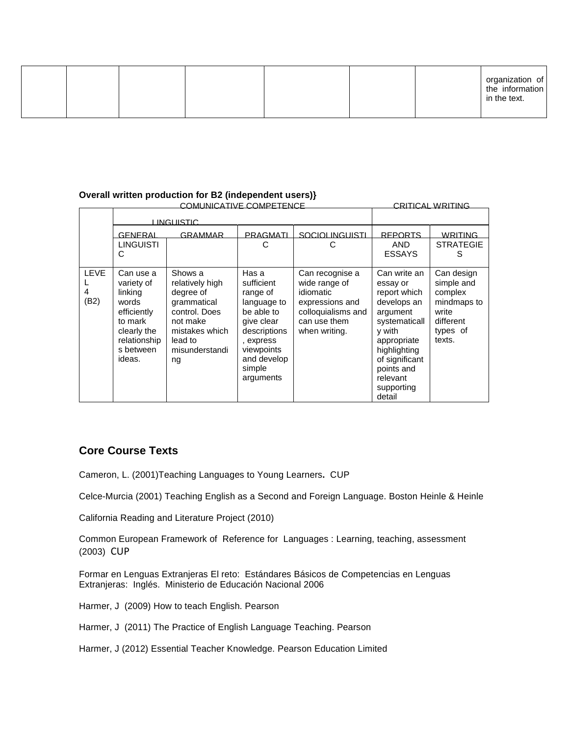|  |  |  |  |  |  |  | organization of<br>the information<br>in the text. |
|--|--|--|--|--|--|--|----------------------------------------------------|
|--|--|--|--|--|--|--|----------------------------------------------------|

#### **Overall written production for B2 (independent users)}**

|                          |                                                                                                                             |                                                                                                                                          | CRITICAL WRITING                                                                                                                                            |                                                                                                                         |                                                                                                                                                                                                   |                                                                                                |
|--------------------------|-----------------------------------------------------------------------------------------------------------------------------|------------------------------------------------------------------------------------------------------------------------------------------|-------------------------------------------------------------------------------------------------------------------------------------------------------------|-------------------------------------------------------------------------------------------------------------------------|---------------------------------------------------------------------------------------------------------------------------------------------------------------------------------------------------|------------------------------------------------------------------------------------------------|
|                          |                                                                                                                             | <u>LINGUISTIC</u>                                                                                                                        |                                                                                                                                                             |                                                                                                                         |                                                                                                                                                                                                   |                                                                                                |
|                          | GENERAL                                                                                                                     | <b>GRAMMAR</b>                                                                                                                           | PRAGMATI                                                                                                                                                    | SOCIOLINGUISTI                                                                                                          | <b>REPORTS</b>                                                                                                                                                                                    | WRITING                                                                                        |
|                          | <b>LINGUISTI</b><br>С                                                                                                       |                                                                                                                                          | С                                                                                                                                                           | С                                                                                                                       | AND.<br><b>ESSAYS</b>                                                                                                                                                                             | <b>STRATEGIE</b><br>S                                                                          |
| <b>LEVE</b><br>4<br>(B2) | Can use a<br>variety of<br>linking<br>words<br>efficiently<br>to mark<br>clearly the<br>relationship<br>s between<br>ideas. | Shows a<br>relatively high<br>degree of<br>grammatical<br>control. Does<br>not make<br>mistakes which<br>lead to<br>misunderstandi<br>ng | Has a<br>sufficient<br>range of<br>language to<br>be able to<br>give clear<br>descriptions<br>, express<br>viewpoints<br>and develop<br>simple<br>arguments | Can recognise a<br>wide range of<br>idiomatic<br>expressions and<br>colloquialisms and<br>can use them<br>when writing. | Can write an<br>essay or<br>report which<br>develops an<br>argument<br>systematicall<br>y with<br>appropriate<br>highlighting<br>of significant<br>points and<br>relevant<br>supporting<br>detail | Can design<br>simple and<br>complex<br>mindmaps to<br>write<br>different<br>types of<br>texts. |

## **Core Course Texts**

Cameron, L. (2001)Teaching Languages to Young Learners**.** CUP

Celce-Murcia (2001) Teaching English as a Second and Foreign Language. Boston Heinle & Heinle

California Reading and Literature Project (2010)

Common European Framework of Reference for Languages : Learning, teaching, assessment (2003) CUP

Formar en Lenguas Extranjeras El reto: Estándares Básicos de Competencias en Lenguas Extranjeras: Inglés. Ministerio de Educación Nacional 2006

Harmer, J (2009) How to teach English. Pearson

Harmer, J (2011) The Practice of English Language Teaching. Pearson

Harmer, J (2012) Essential Teacher Knowledge. Pearson Education Limited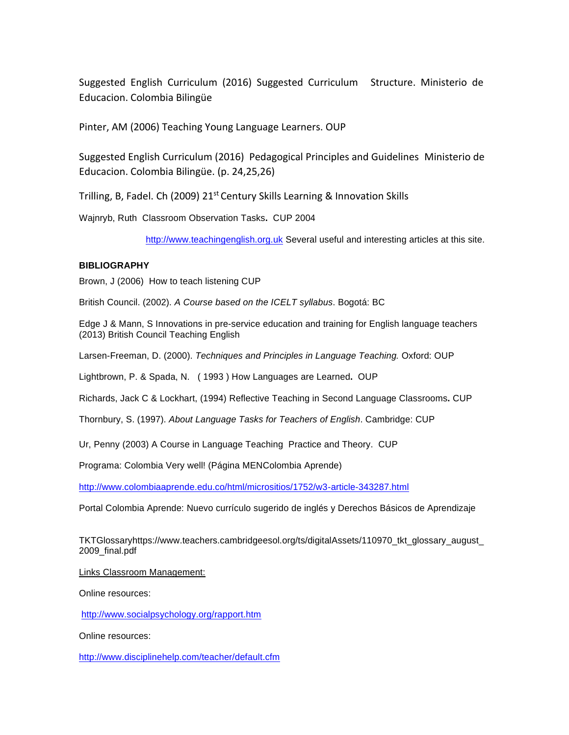Suggested English Curriculum (2016) Suggested Curriculum Structure. Ministerio de Educacion. Colombia Bilingüe

Pinter, AM (2006) Teaching Young Language Learners. OUP

Suggested English Curriculum (2016) Pedagogical Principles and Guidelines Ministerio de Educacion. Colombia Bilingüe. (p. 24,25,26)

Trilling, B, Fadel. Ch (2009) 21<sup>st</sup> Century Skills Learning & Innovation Skills

Wajnryb, Ruth Classroom Observation Tasks**.** CUP 2004

[http://www.teachingenglish.org.uk](http://www.teachingenglish.org.uk/) Several useful and interesting articles at this site.

#### **BIBLIOGRAPHY**

Brown, J (2006) How to teach listening CUP

British Council. (2002). *A Course based on the ICELT syllabus*. Bogotá: BC

Edge J & Mann, S Innovations in pre-service education and training for English language teachers (2013) British Council Teaching English

Larsen-Freeman, D. (2000). *Techniques and Principles in Language Teaching.* Oxford: OUP

Lightbrown, P. & Spada, N. ( 1993 ) How Languages are Learned**.** OUP

Richards, Jack C & Lockhart, (1994) Reflective Teaching in Second Language Classrooms**.** CUP

Thornbury, S. (1997). *About Language Tasks for Teachers of English*. Cambridge: CUP

Ur, Penny (2003) A Course in Language Teaching Practice and Theory. CUP

Programa: Colombia Very well! (Página MENColombia Aprende)

<http://www.colombiaaprende.edu.co/html/micrositios/1752/w3-article-343287.html>

Portal Colombia Aprende: Nuevo currículo sugerido de inglés y Derechos Básicos de Aprendizaje

TKTGlossaryhttps://www.teachers.cambridgeesol.org/ts/digitalAssets/110970\_tkt\_glossary\_august\_ 2009\_final.pdf

Links Classroom Management:

Online resources:

<http://www.socialpsychology.org/rapport.htm>

Online resources:

<http://www.disciplinehelp.com/teacher/default.cfm>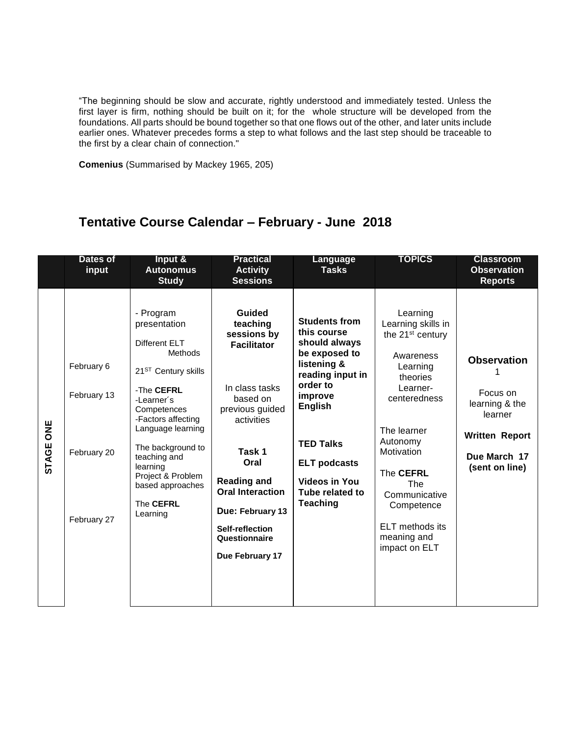"The beginning should be slow and accurate, rightly understood and immediately tested. Unless the first layer is firm, nothing should be built on it; for the whole structure will be developed from the foundations. All parts should be bound together so that one flows out of the other, and later units include earlier ones. Whatever precedes forms a step to what follows and the last step should be traceable to the first by a clear chain of connection."

**Comenius** (Summarised by Mackey 1965, 205)

# **Tentative Course Calendar – February - June 2018**

|                            | <b>Dates of</b><br>input                                | Input &<br><b>Autonomus</b><br><b>Study</b>                                                                                                                                                                                                                                                              | <b>Practical</b><br><b>Activity</b><br><b>Sessions</b>                                                                                                                                                                                                               | <b>Language</b><br><b>Tasks</b>                                                                                                                                                                                                                            | <b>TOPICS</b>                                                                                                                                                                                                                                                                                | <b>Classroom</b><br><b>Observation</b><br><b>Reports</b>                                                               |
|----------------------------|---------------------------------------------------------|----------------------------------------------------------------------------------------------------------------------------------------------------------------------------------------------------------------------------------------------------------------------------------------------------------|----------------------------------------------------------------------------------------------------------------------------------------------------------------------------------------------------------------------------------------------------------------------|------------------------------------------------------------------------------------------------------------------------------------------------------------------------------------------------------------------------------------------------------------|----------------------------------------------------------------------------------------------------------------------------------------------------------------------------------------------------------------------------------------------------------------------------------------------|------------------------------------------------------------------------------------------------------------------------|
| <b>SAG</b><br><b>STAGE</b> | February 6<br>February 13<br>February 20<br>February 27 | - Program<br>presentation<br>Different ELT<br><b>Methods</b><br>21 <sup>ST</sup> Century skills<br>-The CEFRL<br>-Learner's<br>Competences<br>-Factors affecting<br>Language learning<br>The background to<br>teaching and<br>learning<br>Project & Problem<br>based approaches<br>The CEFRL<br>Learning | Guided<br>teaching<br>sessions by<br><b>Facilitator</b><br>In class tasks<br>based on<br>previous guided<br>activities<br>Task 1<br>Oral<br><b>Reading and</b><br><b>Oral Interaction</b><br>Due: February 13<br>Self-reflection<br>Questionnaire<br>Due February 17 | <b>Students from</b><br>this course<br>should always<br>be exposed to<br>listening &<br>reading input in<br>order to<br>improve<br><b>English</b><br><b>TED Talks</b><br><b>ELT</b> podcasts<br><b>Videos in You</b><br>Tube related to<br><b>Teaching</b> | Learning<br>Learning skills in<br>the 21 <sup>st</sup> century<br>Awareness<br>Learning<br>theories<br>Learner-<br>centeredness<br>The learner<br>Autonomy<br>Motivation<br>The CEFRL<br><b>The</b><br>Communicative<br>Competence<br><b>ELT</b> methods its<br>meaning and<br>impact on ELT | <b>Observation</b><br>Focus on<br>learning & the<br>learner<br><b>Written Report</b><br>Due March 17<br>(sent on line) |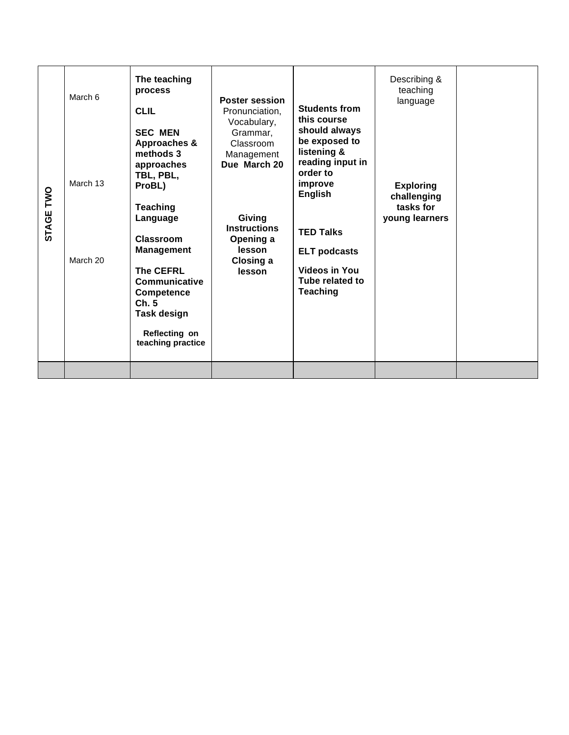| TWO<br>STAGE | March 6<br>March 13<br>March 20 | The teaching<br>process<br><b>CLIL</b><br><b>SEC MEN</b><br>Approaches &<br>methods 3<br>approaches<br>TBL, PBL,<br>ProBL)<br><b>Teaching</b><br>Language<br>Classroom<br><b>Management</b><br><b>The CEFRL</b><br><b>Communicative</b><br>Competence<br>Ch.5<br>Task design<br>Reflecting on<br>teaching practice | <b>Poster session</b><br>Pronunciation.<br>Vocabulary,<br>Grammar,<br>Classroom<br>Management<br>Due March 20<br>Giving<br><b>Instructions</b><br>Opening a<br>lesson<br>Closing a<br>lesson | <b>Students from</b><br>this course<br>should always<br>be exposed to<br>listening &<br>reading input in<br>order to<br>improve<br><b>English</b><br><b>TED Talks</b><br><b>ELT podcasts</b><br>Videos in You<br>Tube related to<br><b>Teaching</b> | Describing &<br>teaching<br>language<br><b>Exploring</b><br>challenging<br>tasks for<br>young learners |  |
|--------------|---------------------------------|--------------------------------------------------------------------------------------------------------------------------------------------------------------------------------------------------------------------------------------------------------------------------------------------------------------------|----------------------------------------------------------------------------------------------------------------------------------------------------------------------------------------------|-----------------------------------------------------------------------------------------------------------------------------------------------------------------------------------------------------------------------------------------------------|--------------------------------------------------------------------------------------------------------|--|
|--------------|---------------------------------|--------------------------------------------------------------------------------------------------------------------------------------------------------------------------------------------------------------------------------------------------------------------------------------------------------------------|----------------------------------------------------------------------------------------------------------------------------------------------------------------------------------------------|-----------------------------------------------------------------------------------------------------------------------------------------------------------------------------------------------------------------------------------------------------|--------------------------------------------------------------------------------------------------------|--|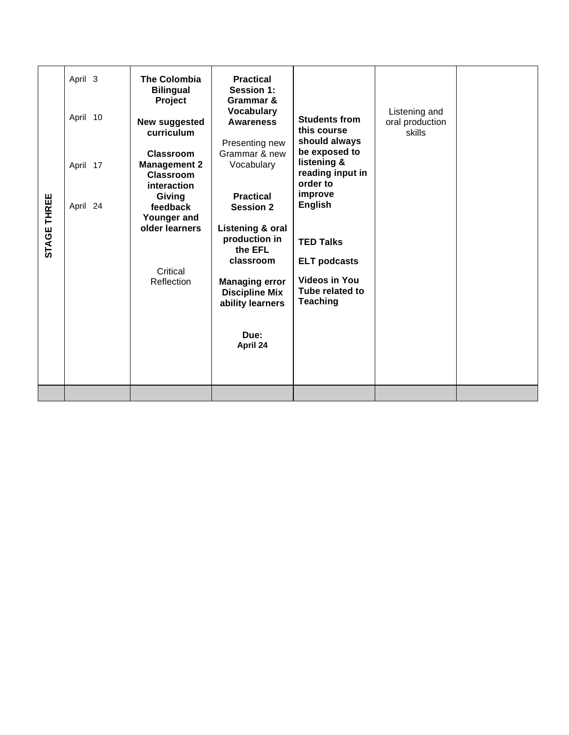|             | April 3<br>April 10  | <b>The Colombia</b><br><b>Bilingual</b><br>Project<br>New suggested<br>curriculum                                                                         | <b>Practical</b><br><b>Session 1:</b><br>Grammar &<br><b>Vocabulary</b><br><b>Awareness</b><br>Presenting new                                       | <b>Students from</b><br>this course<br>should always                                                  | Listening and<br>oral production<br>skills |  |
|-------------|----------------------|-----------------------------------------------------------------------------------------------------------------------------------------------------------|-----------------------------------------------------------------------------------------------------------------------------------------------------|-------------------------------------------------------------------------------------------------------|--------------------------------------------|--|
|             | April 17<br>April 24 | Grammar & new<br>Classroom<br><b>Management 2</b><br>Vocabulary<br>Classroom<br>interaction<br><b>Practical</b><br>Giving<br><b>Session 2</b><br>feedback | be exposed to<br>listening &<br>reading input in<br>order to<br>improve<br><b>English</b>                                                           |                                                                                                       |                                            |  |
| STAGE THREE |                      | Younger and<br>older learners<br>Critical<br>Reflection                                                                                                   | Listening & oral<br>production in<br>the EFL<br>classroom<br><b>Managing error</b><br><b>Discipline Mix</b><br>ability learners<br>Due:<br>April 24 | <b>TED Talks</b><br><b>ELT podcasts</b><br><b>Videos in You</b><br>Tube related to<br><b>Teaching</b> |                                            |  |
|             |                      |                                                                                                                                                           |                                                                                                                                                     |                                                                                                       |                                            |  |